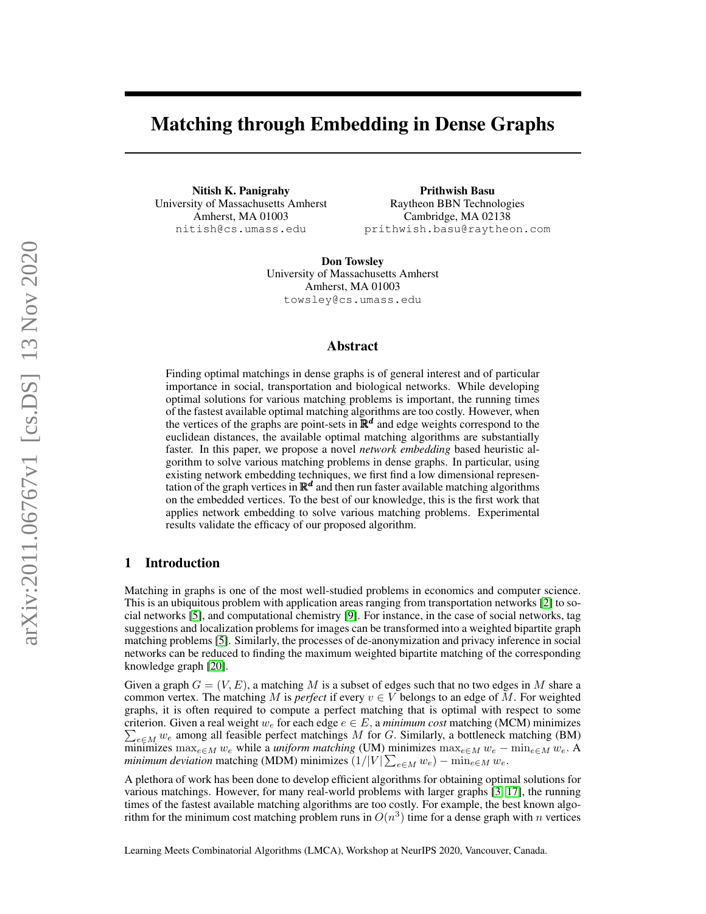# Matching through Embedding in Dense Graphs

Nitish K. Panigrahy University of Massachusetts Amherst Amherst, MA 01003 nitish@cs.umass.edu

Prithwish Basu Raytheon BBN Technologies Cambridge, MA 02138 prithwish.basu@raytheon.com

Don Towsley University of Massachusetts Amherst Amherst, MA 01003 towsley@cs.umass.edu

### Abstract

Finding optimal matchings in dense graphs is of general interest and of particular importance in social, transportation and biological networks. While developing optimal solutions for various matching problems is important, the running times of the fastest available optimal matching algorithms are too costly. However, when the vertices of the graphs are point-sets in  $\mathbb{R}^d$  and edge weights correspond to the euclidean distances, the available optimal matching algorithms are substantially faster. In this paper, we propose a novel *network embedding* based heuristic algorithm to solve various matching problems in dense graphs. In particular, using existing network embedding techniques, we first find a low dimensional representation of the graph vertices in  $\mathbb{R}^d$  and then run faster available matching algorithms on the embedded vertices. To the best of our knowledge, this is the first work that applies network embedding to solve various matching problems. Experimental results validate the efficacy of our proposed algorithm.

## 1 Introduction

Matching in graphs is one of the most well-studied problems in economics and computer science. This is an ubiquitous problem with application areas ranging from transportation networks [\[2\]](#page-4-0) to social networks [\[5\]](#page-4-1), and computational chemistry [\[9\]](#page-4-2). For instance, in the case of social networks, tag suggestions and localization problems for images can be transformed into a weighted bipartite graph matching problems [\[5\]](#page-4-1). Similarly, the processes of de-anonymization and privacy inference in social networks can be reduced to finding the maximum weighted bipartite matching of the corresponding knowledge graph [\[20\]](#page-5-0).

Given a graph  $G = (V, E)$ , a matching M is a subset of edges such that no two edges in M share a common vertex. The matching M is *perfect* if every  $v \in V$  belongs to an edge of M. For weighted graphs, it is often required to compute a perfect matching that is optimal with respect to some criterion. Given a real weight  $w_e$  for each edge  $e \in E$ , a *minimum cost* matching (MCM) minimizes  $\sum_{e \in M} w_e$  among all feasible perfect matchings M for G. Similarly, a bottleneck matching (BM) minimizes max<sub>e∈M</sub> w<sub>e</sub> while a *uniform matching* (UM) minimizes  $\max_{e \in M} w_e - \min_{e \in M} w_e$ . A *minimum deviation* matching (MDM) minimizes  $(1/|V| \sum_{e \in M} w_e) - \min_{e \in M} w_e$ .

A plethora of work has been done to develop efficient algorithms for obtaining optimal solutions for various matchings. However, for many real-world problems with larger graphs [\[3,](#page-4-3) [17\]](#page-4-4), the running times of the fastest available matching algorithms are too costly. For example, the best known algorithm for the minimum cost matching problem runs in  $O(n^3)$  time for a dense graph with n vertices

Learning Meets Combinatorial Algorithms (LMCA), Workshop at NeurIPS 2020, Vancouver, Canada.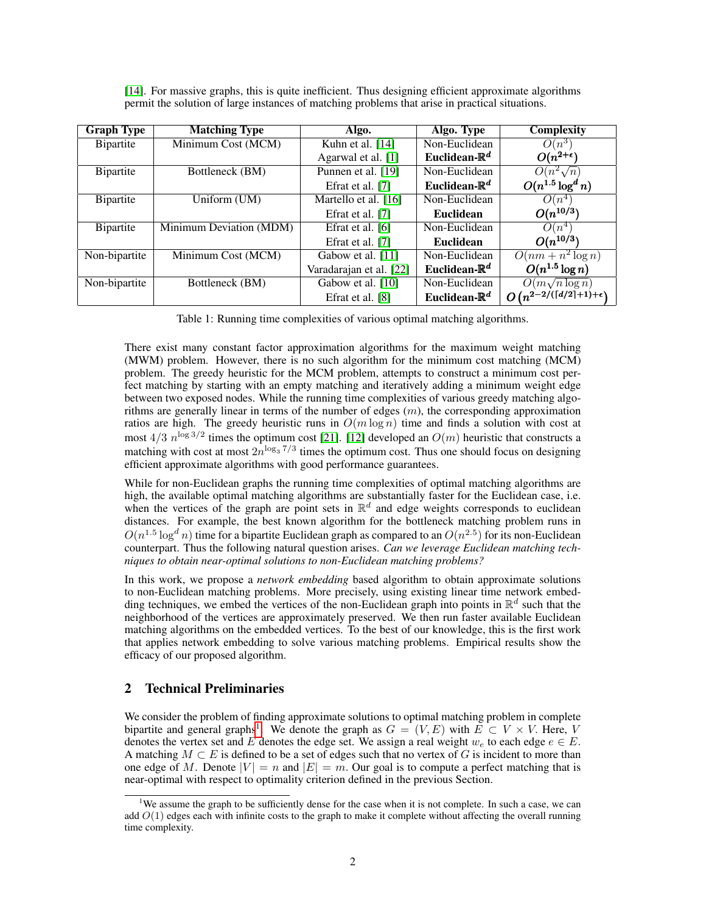| <b>Graph Type</b> | <b>Matching Type</b>    | Algo.                   | Algo. Type                | <b>Complexity</b>    |
|-------------------|-------------------------|-------------------------|---------------------------|----------------------|
| <b>B</b> ipartite | Minimum Cost (MCM)      | Kuhn et al. $[14]$      | Non-Euclidean             | $O(n^3)$             |
|                   |                         | Agarwal et al. [1]      | Euclidean- $\mathbb{R}^d$ | $O(n^{2+\epsilon})$  |
| <b>B</b> ipartite | Bottleneck (BM)         | Punnen et al. [19]      | Non-Euclidean             | $O(n^2\sqrt{n})$     |
|                   |                         | Efrat et al. [7]        | Euclidean- $\mathbb{R}^d$ | $O(n^{1.5}\log^d n)$ |
| <b>B</b> ipartite | Uniform (UM)            | Martello et al. $[16]$  | Non-Euclidean             | $O(n^4)$             |
|                   |                         | Efrat et al. [7]        | <b>Euclidean</b>          | $O(n^{10/3})$        |
| Bipartite         | Minimum Deviation (MDM) | Efrat et al. [6]        | Non-Euclidean             | $O(n^4)$             |
|                   |                         | Efrat et al. [7]        | <b>Euclidean</b>          | $O(n^{10/3})$        |
| Non-bipartite     | Minimum Cost (MCM)      | Gabow et al. [11]       | Non-Euclidean             | $O(nm + n^2 \log n)$ |
|                   |                         | Varadarajan et al. [22] | Euclidean- $\mathbb{R}^d$ | $O(n^{1.5}\log n)$   |
| Non-bipartite     | Bottleneck (BM)         | Gabow et al. [10]       | Non-Euclidean             | $O(m\sqrt{n}\log n)$ |

<span id="page-1-1"></span>[\[14\]](#page-4-5). For massive graphs, this is quite inefficient. Thus designing efficient approximate algorithms permit the solution of large instances of matching problems that arise in practical situations.

Table 1: Running time complexities of various optimal matching algorithms.

Efrat et al. [\[8\]](#page-4-13) **Euclidean-R<sup>d</sup>** 

 $\begin{array}{c|c} d & O\left(n^{2-2/(\lceil d/2 \rceil+1)+\epsilon}\right) \end{array}$ 

)

There exist many constant factor approximation algorithms for the maximum weight matching (MWM) problem. However, there is no such algorithm for the minimum cost matching (MCM) problem. The greedy heuristic for the MCM problem, attempts to construct a minimum cost perfect matching by starting with an empty matching and iteratively adding a minimum weight edge between two exposed nodes. While the running time complexities of various greedy matching algorithms are generally linear in terms of the number of edges  $(m)$ , the corresponding approximation ratios are high. The greedy heuristic runs in  $O(m \log n)$  time and finds a solution with cost at most  $4/3$   $n^{\log 3/2}$  times the optimum cost [\[21\]](#page-5-2). [\[12\]](#page-4-14) developed an  $O(m)$  heuristic that constructs a matching with cost at most  $2n^{\log_3 7/3}$  times the optimum cost. Thus one should focus on designing efficient approximate algorithms with good performance guarantees.

While for non-Euclidean graphs the running time complexities of optimal matching algorithms are high, the available optimal matching algorithms are substantially faster for the Euclidean case, i.e. when the vertices of the graph are point sets in  $\mathbb{R}^d$  and edge weights corresponds to euclidean distances. For example, the best known algorithm for the bottleneck matching problem runs in  $O(n^{1.5} \log^d n)$  time for a bipartite Euclidean graph as compared to an  $O(n^{2.5})$  for its non-Euclidean counterpart. Thus the following natural question arises. *Can we leverage Euclidean matching techniques to obtain near-optimal solutions to non-Euclidean matching problems?*

In this work, we propose a *network embedding* based algorithm to obtain approximate solutions to non-Euclidean matching problems. More precisely, using existing linear time network embedding techniques, we embed the vertices of the non-Euclidean graph into points in  $\mathbb{R}^d$  such that the neighborhood of the vertices are approximately preserved. We then run faster available Euclidean matching algorithms on the embedded vertices. To the best of our knowledge, this is the first work that applies network embedding to solve various matching problems. Empirical results show the efficacy of our proposed algorithm.

## 2 Technical Preliminaries

We consider the problem of finding approximate solutions to optimal matching problem in complete bipartite and general graphs<sup>[1](#page-1-0)</sup>. We denote the graph as  $G = (V, E)$  with  $E \subset V \times V$ . Here, V denotes the vertex set and E denotes the edge set. We assign a real weight  $w_e$  to each edge  $e \in E$ . A matching  $M \subset E$  is defined to be a set of edges such that no vertex of G is incident to more than one edge of M. Denote  $|V| = n$  and  $|E| = m$ . Our goal is to compute a perfect matching that is near-optimal with respect to optimality criterion defined in the previous Section.

<span id="page-1-0"></span><sup>&</sup>lt;sup>1</sup>We assume the graph to be sufficiently dense for the case when it is not complete. In such a case, we can add  $O(1)$  edges each with infinite costs to the graph to make it complete without affecting the overall running time complexity.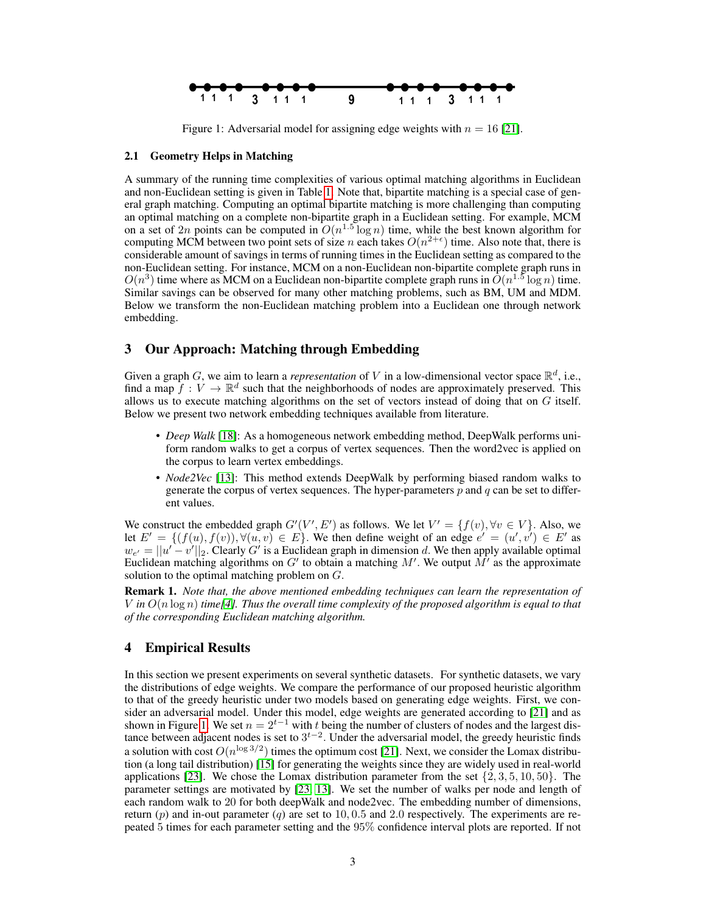<span id="page-2-0"></span>

Figure 1: Adversarial model for assigning edge weights with  $n = 16$  [\[21\]](#page-5-2).

#### 2.1 Geometry Helps in Matching

A summary of the running time complexities of various optimal matching algorithms in Euclidean and non-Euclidean setting is given in Table [1.](#page-1-1) Note that, bipartite matching is a special case of general graph matching. Computing an optimal bipartite matching is more challenging than computing an optimal matching on a complete non-bipartite graph in a Euclidean setting. For example, MCM on a set of 2n points can be computed in  $O(n^{1.5} \log n)$  time, while the best known algorithm for computing MCM between two point sets of size *n* each takes  $O(n^{2+\epsilon})$  time. Also note that, there is considerable amount of savings in terms of running times in the Euclidean setting as compared to the non-Euclidean setting. For instance, MCM on a non-Euclidean non-bipartite complete graph runs in  $O(n^3)$  time where as MCM on a Euclidean non-bipartite complete graph runs in  $\tilde{O}(n^{1.5} \log n)$  time. Similar savings can be observed for many other matching problems, such as BM, UM and MDM. Below we transform the non-Euclidean matching problem into a Euclidean one through network embedding.

## 3 Our Approach: Matching through Embedding

Given a graph G, we aim to learn a *representation* of V in a low-dimensional vector space  $\mathbb{R}^d$ , i.e., find a map  $f: V \to \mathbb{R}^d$  such that the neighborhoods of nodes are approximately preserved. This allows us to execute matching algorithms on the set of vectors instead of doing that on  $G$  itself. Below we present two network embedding techniques available from literature.

- *Deep Walk* [\[18\]](#page-4-15): As a homogeneous network embedding method, DeepWalk performs uniform random walks to get a corpus of vertex sequences. Then the word2vec is applied on the corpus to learn vertex embeddings.
- *Node2Vec* [\[13\]](#page-4-16): This method extends DeepWalk by performing biased random walks to generate the corpus of vertex sequences. The hyper-parameters  $p$  and  $q$  can be set to different values.

We construct the embedded graph  $G'(V', E')$  as follows. We let  $V' = \{f(v), \forall v \in V\}$ . Also, we let  $E' = \{ (f(u), f(v)), \forall (u, v) \in E \}.$  We then define weight of an edge  $e' = (u', v') \in E'$  as  $w_{e'} = ||u' - v'||_2$ . Clearly G' is a Euclidean graph in dimension d. We then apply available optimal Euclidean matching algorithms on G' to obtain a matching M'. We output  $\tilde{M}'$  as the approximate solution to the optimal matching problem on G.

Remark 1. *Note that, the above mentioned embedding techniques can learn the representation of* V in  $O(n \log n)$  *time*<sup>[\[4\]](#page-4-17)</sup>*. Thus the overall time complexity of the proposed algorithm is equal to that of the corresponding Euclidean matching algorithm.*

## 4 Empirical Results

In this section we present experiments on several synthetic datasets. For synthetic datasets, we vary the distributions of edge weights. We compare the performance of our proposed heuristic algorithm to that of the greedy heuristic under two models based on generating edge weights. First, we consider an adversarial model. Under this model, edge weights are generated according to [\[21\]](#page-5-2) and as shown in Figure [1.](#page-2-0) We set  $n = 2^{t-1}$  with t being the number of clusters of nodes and the largest distance between adjacent nodes is set to  $3<sup>t-2</sup>$ . Under the adversarial model, the greedy heuristic finds a solution with cost  $O(n^{\log 3/2})$  times the optimum cost [\[21\]](#page-5-2). Next, we consider the Lomax distribution (a long tail distribution) [\[15\]](#page-4-18) for generating the weights since they are widely used in real-world applications [\[23\]](#page-5-3). We chose the Lomax distribution parameter from the set  $\{2, 3, 5, 10, 50\}$ . The parameter settings are motivated by [\[23,](#page-5-3) [13\]](#page-4-16). We set the number of walks per node and length of each random walk to 20 for both deepWalk and node2vec. The embedding number of dimensions, return  $(p)$  and in-out parameter  $(q)$  are set to 10, 0.5 and 2.0 respectively. The experiments are repeated 5 times for each parameter setting and the 95% confidence interval plots are reported. If not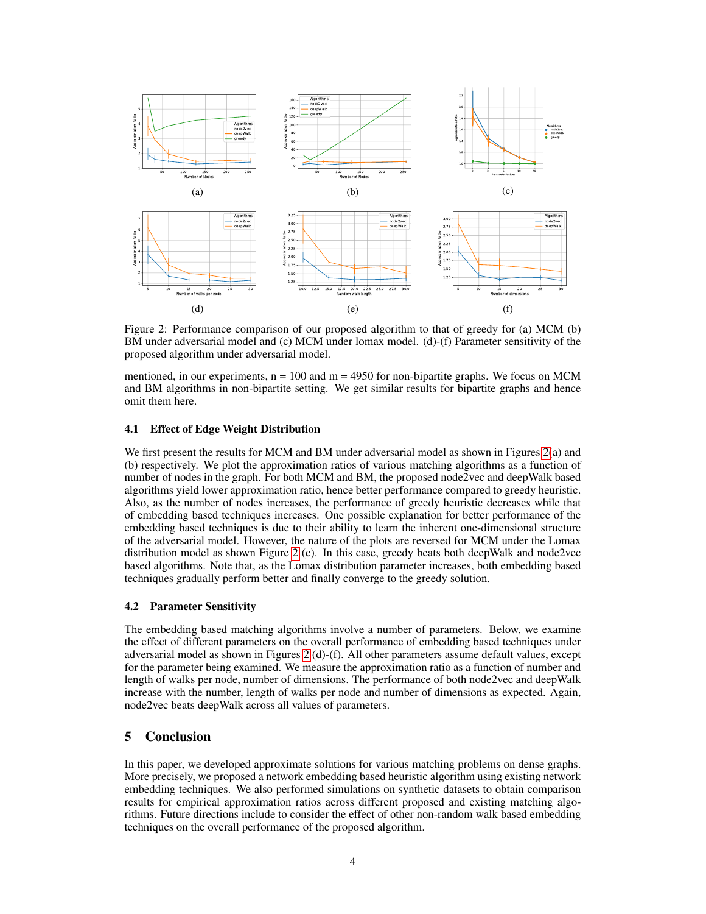<span id="page-3-0"></span>

Figure 2: Performance comparison of our proposed algorithm to that of greedy for (a) MCM (b) BM under adversarial model and (c) MCM under lomax model. (d)-(f) Parameter sensitivity of the proposed algorithm under adversarial model.

mentioned, in our experiments,  $n = 100$  and  $m = 4950$  for non-bipartite graphs. We focus on MCM and BM algorithms in non-bipartite setting. We get similar results for bipartite graphs and hence omit them here.

#### 4.1 Effect of Edge Weight Distribution

We first present the results for MCM and BM under adversarial model as shown in Figures [2\(](#page-3-0)a) and (b) respectively. We plot the approximation ratios of various matching algorithms as a function of number of nodes in the graph. For both MCM and BM, the proposed node2vec and deepWalk based algorithms yield lower approximation ratio, hence better performance compared to greedy heuristic. Also, as the number of nodes increases, the performance of greedy heuristic decreases while that of embedding based techniques increases. One possible explanation for better performance of the embedding based techniques is due to their ability to learn the inherent one-dimensional structure of the adversarial model. However, the nature of the plots are reversed for MCM under the Lomax distribution model as shown Figure [2](#page-3-0) (c). In this case, greedy beats both deepWalk and node2vec based algorithms. Note that, as the Lomax distribution parameter increases, both embedding based techniques gradually perform better and finally converge to the greedy solution.

#### 4.2 Parameter Sensitivity

The embedding based matching algorithms involve a number of parameters. Below, we examine the effect of different parameters on the overall performance of embedding based techniques under adversarial model as shown in Figures [2](#page-3-0) (d)-(f). All other parameters assume default values, except for the parameter being examined. We measure the approximation ratio as a function of number and length of walks per node, number of dimensions. The performance of both node2vec and deepWalk increase with the number, length of walks per node and number of dimensions as expected. Again, node2vec beats deepWalk across all values of parameters.

## 5 Conclusion

In this paper, we developed approximate solutions for various matching problems on dense graphs. More precisely, we proposed a network embedding based heuristic algorithm using existing network embedding techniques. We also performed simulations on synthetic datasets to obtain comparison results for empirical approximation ratios across different proposed and existing matching algorithms. Future directions include to consider the effect of other non-random walk based embedding techniques on the overall performance of the proposed algorithm.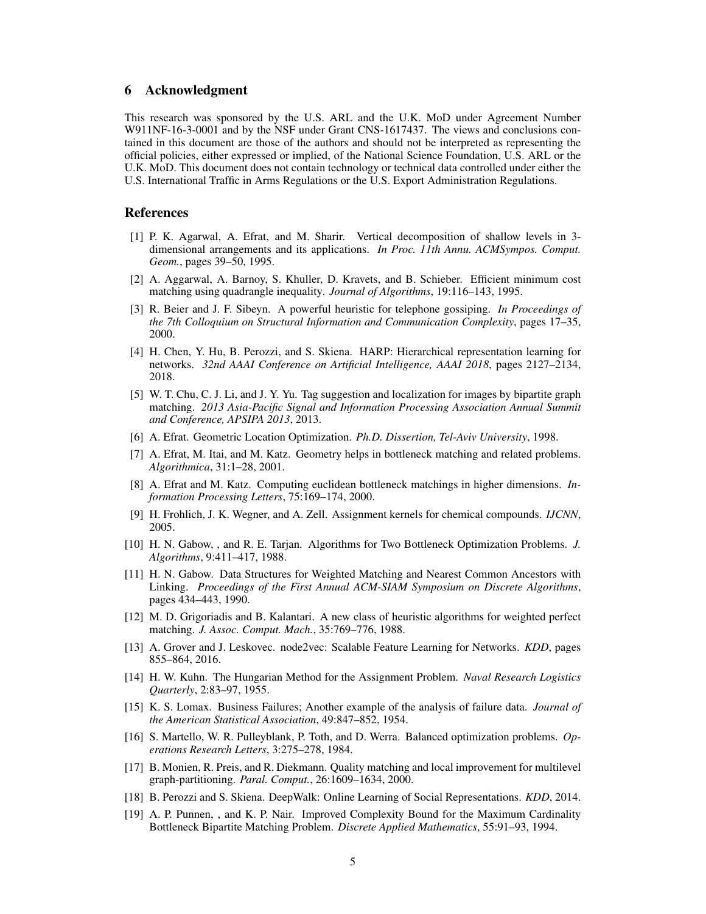## 6 Acknowledgment

This research was sponsored by the U.S. ARL and the U.K. MoD under Agreement Number W911NF-16-3-0001 and by the NSF under Grant CNS-1617437. The views and conclusions contained in this document are those of the authors and should not be interpreted as representing the official policies, either expressed or implied, of the National Science Foundation, U.S. ARL or the U.K. MoD. This document does not contain technology or technical data controlled under either the U.S. International Traffic in Arms Regulations or the U.S. Export Administration Regulations.

#### References

- <span id="page-4-6"></span>[1] P. K. Agarwal, A. Efrat, and M. Sharir. Vertical decomposition of shallow levels in 3 dimensional arrangements and its applications. *In Proc. 11th Annu. ACMSympos. Comput. Geom.*, pages 39–50, 1995.
- <span id="page-4-0"></span>[2] A. Aggarwal, A. Barnoy, S. Khuller, D. Kravets, and B. Schieber. Efficient minimum cost matching using quadrangle inequality. *Journal of Algorithms*, 19:116–143, 1995.
- <span id="page-4-3"></span>[3] R. Beier and J. F. Sibeyn. A powerful heuristic for telephone gossiping. *In Proceedings of the 7th Colloquium on Structural Information and Communication Complexity*, pages 17–35, 2000.
- <span id="page-4-17"></span>[4] H. Chen, Y. Hu, B. Perozzi, and S. Skiena. HARP: Hierarchical representation learning for networks. *32nd AAAI Conference on Artificial Intelligence, AAAI 2018*, pages 2127–2134, 2018.
- <span id="page-4-1"></span>[5] W. T. Chu, C. J. Li, and J. Y. Yu. Tag suggestion and localization for images by bipartite graph matching. *2013 Asia-Pacific Signal and Information Processing Association Annual Summit and Conference, APSIPA 2013*, 2013.
- <span id="page-4-10"></span>[6] A. Efrat. Geometric Location Optimization. *Ph.D. Dissertion, Tel-Aviv University*, 1998.
- <span id="page-4-8"></span>[7] A. Efrat, M. Itai, and M. Katz. Geometry helps in bottleneck matching and related problems. *Algorithmica*, 31:1–28, 2001.
- <span id="page-4-13"></span>[8] A. Efrat and M. Katz. Computing euclidean bottleneck matchings in higher dimensions. *Information Processing Letters*, 75:169–174, 2000.
- <span id="page-4-2"></span>[9] H. Frohlich, J. K. Wegner, and A. Zell. Assignment kernels for chemical compounds. *IJCNN*, 2005.
- <span id="page-4-12"></span>[10] H. N. Gabow, , and R. E. Tarjan. Algorithms for Two Bottleneck Optimization Problems. *J. Algorithms*, 9:411–417, 1988.
- <span id="page-4-11"></span>[11] H. N. Gabow. Data Structures for Weighted Matching and Nearest Common Ancestors with Linking. *Proceedings of the First Annual ACM-SIAM Symposium on Discrete Algorithms*, pages 434–443, 1990.
- <span id="page-4-14"></span>[12] M. D. Grigoriadis and B. Kalantari. A new class of heuristic algorithms for weighted perfect matching. *J. Assoc. Comput. Mach.*, 35:769–776, 1988.
- <span id="page-4-16"></span>[13] A. Grover and J. Leskovec. node2vec: Scalable Feature Learning for Networks. *KDD*, pages 855–864, 2016.
- <span id="page-4-5"></span>[14] H. W. Kuhn. The Hungarian Method for the Assignment Problem. *Naval Research Logistics Quarterly*, 2:83–97, 1955.
- <span id="page-4-18"></span>[15] K. S. Lomax. Business Failures; Another example of the analysis of failure data. *Journal of the American Statistical Association*, 49:847–852, 1954.
- <span id="page-4-9"></span>[16] S. Martello, W. R. Pulleyblank, P. Toth, and D. Werra. Balanced optimization problems. *Operations Research Letters*, 3:275–278, 1984.
- <span id="page-4-4"></span>[17] B. Monien, R. Preis, and R. Diekmann. Quality matching and local improvement for multilevel graph-partitioning. *Paral. Comput.*, 26:1609–1634, 2000.
- <span id="page-4-15"></span>[18] B. Perozzi and S. Skiena. DeepWalk: Online Learning of Social Representations. *KDD*, 2014.
- <span id="page-4-7"></span>[19] A. P. Punnen, , and K. P. Nair. Improved Complexity Bound for the Maximum Cardinality Bottleneck Bipartite Matching Problem. *Discrete Applied Mathematics*, 55:91–93, 1994.